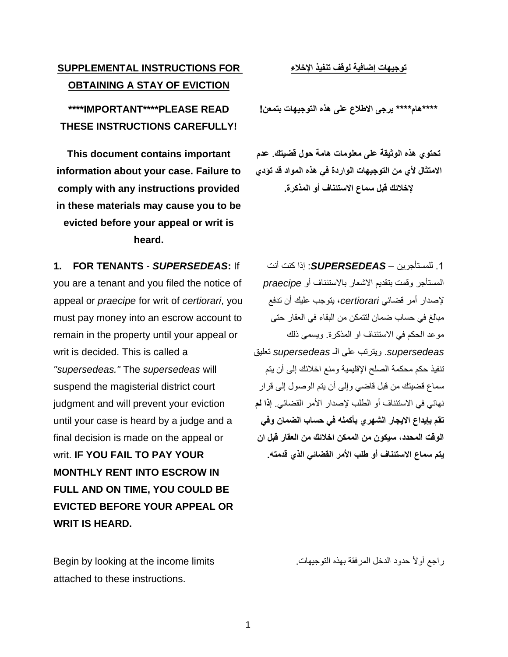1

## **SUPPLEMENTAL INSTRUCTIONS FOR OBTAINING A STAY OF EVICTION**

**\*\*\*\*IMPORTANT\*\*\*\*PLEASE READ THESE INSTRUCTIONS CAREFULLY!**

**This document contains important information about your case. Failure to comply with any instructions provided in these materials may cause you to be evicted before your appeal or writ is heard.**

**1. FOR TENANTS** - *SUPERSEDEAS***:** If you are a tenant and you filed the notice of appeal or *praecipe* for writ of *certiorari*, you must pay money into an escrow account to remain in the property until your appeal or writ is decided. This is called a *"supersedeas."* The *supersedeas* will suspend the magisterial district court judgment and will prevent your eviction until your case is heard by a judge and a final decision is made on the appeal or writ. **IF YOU FAIL TO PAY YOUR MONTHLY RENT INTO ESCROW IN FULL AND ON TIME, YOU COULD BE EVICTED BEFORE YOUR APPEAL OR WRIT IS HEARD.**

Begin by looking at the income limits attached to these instructions.

**توجيهات إضافية لوقف تنفيذ اإلخالء**

**\*\*\*\*هام\*\*\*\* يرجى االطالع على هذه التوجيهات بتمعن!** 

**تحتوي هذه الوثيقة على معلومات هامة حول قضيتك. عدم االمتثال ألي من التوجيهات الواردة في هذه المواد قد تؤدي إلخالئك قبل سماع االستئناف أو المذكرة.**

.1 للمستأجرين – *SUPERSEDEAS*: إذا كنت أنت المستأجر وقمت بتقديم االشعار باالستئناف أو *praecipe* إلصدار أمر قضائي *certiorari*، يتوجب عليك أن تدفع مبالغ في حساب ضمان لتتمكن من البقاء في العقار حتى موعد الحكم في االستئناف او المذكرة. ويسمى ذلك *supersedeas*. ويترتب على الـ *supersedeas* تعليق تنفيذ حكم محكمة الصلح اإلقليمية ومنع اخالئك إلى أن يتم سماع قضيتك من قبل قاضي وإلى أن يتم الوصول إلى قرار نهائي في االستئناف أو الطلب إلصدار األمر القضائي. **إذا لم تقم بإيداع االيجار الشهري بأكمله في حساب الضمان وفي الوقت المحدد، سيكون من الممكن اخالئك من العقار قبل ان يتم سماع االستئناف أو طلب األمر القضائي الذي قدمته.** 

راجع أوالً حدود الدخل المرفقة بهذه التوجيهات.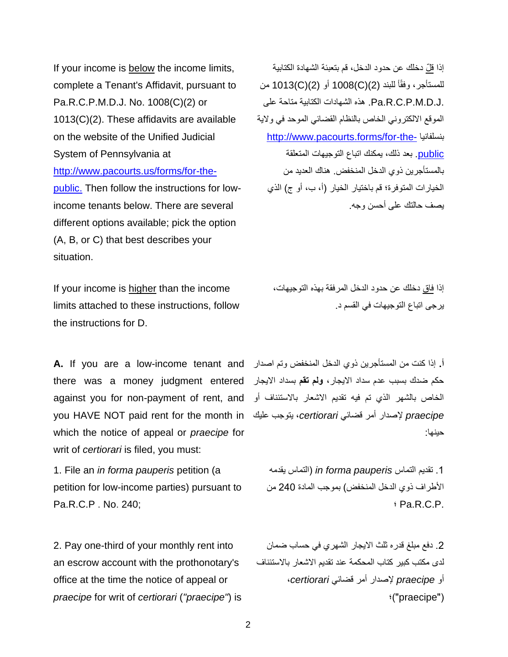If your income is below the income limits, complete a Tenant's Affidavit, pursuant to Pa.R.C.P.M.D.J. No. 1008(C)(2) or 1013(C)(2). These affidavits are available on the website of the Unified Judicial System of Pennsylvania at [http://www.pacourts.us/forms/for-the](http://www.pacourts.us/forms/for-the-public.)[public.](http://www.pacourts.us/forms/for-the-public.) Then follow the instructions for lowincome tenants below. There are several different options available; pick the option (A, B, or C) that best describes your situation.

If your income is higher than the income limits attached to these instructions, follow the instructions for D.

**A.** If you are a low-income tenant and **أ.** إذا كنت من المستأجرين ذوي الدخل المنخفض وتم اصدار there was a money judgment entered حكم ضدك بسبب عدم سداد االيجار، **ولم تقم** بسداد االيجار against you for non-payment of rent, and الخاص بالشهر الذي تم فيه تقديم االشعار باالستئناف أو you HAVE NOT paid rent for the month in *praecipe* إلصدار أمر قضائي *certiorari*، يتوجب عليك which the notice of appeal or *praecipe* for writ of *certiorari* is filed, you must:

1. File an *in forma pauperis* petition (a petition for low-income parties) pursuant to Pa.R.C.P . No. 240;

2. Pay one-third of your monthly rent into an escrow account with the prothonotary's office at the time the notice of appeal or *praecipe* for writ of *certiorari* (*"praecipe"*) is

إذا قلّ دخلك عن حدود الدخل، قم بتعبئة الشهادة الكتابية للمستأجر، وفقًا للبند (2)(C)(2) 1008 أو (2)(1013 من .Pa.R.C.P.M.D.J هذه الشهادات الكتابية متاحة على الموقع االلكتروني الخاص بالنظام القضائي الموحد في والية [http://www.pacourts.forms/for-the-](http://www.pacourts.forms/for-the-public) بنسلفانيا [public.](http://www.pacourts.forms/for-the-public) بعد ذلك، يمكنك اتباع التوجيهات المتعلقة بالمستأجرين ذوي الدخل المنخفض. هناك العديد من الخيارات المتوفرة؛ قم باختيار الخيار (أ، ب، أو ج) الذي يصف حالتك على أحسن وجه.

إذا فاق دخلك عن حدود الدخل المرفقة بهذه التوجيهات، يرجى اتباع التوجيهات في القسم د.

حينها:

.1 تقديم التماس *pauperis forma in*( التماس يقدمه األطراف ذوي الدخل المنخفض( بموجب المادة 240 من ؛ Pa.R.C.P.

.2 دفع مبلغ قدره ثلث االيجار الشهري في حساب ضمان لدى مكتب كبير كتاب المحكمة عند تقديم االشعار باالستئناف أو *praecipe* إلصدار أمر قضائي *certiorari*، )" praecipe) "؛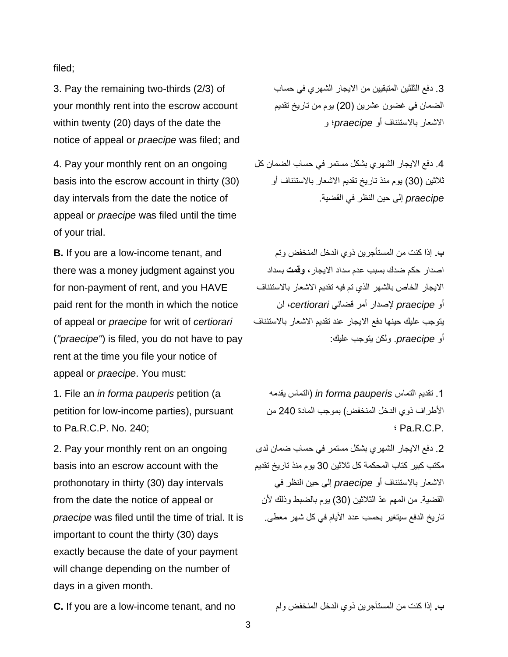filed;

3. Pay the remaining two-thirds (2/3) of your monthly rent into the escrow account within twenty (20) days of the date the notice of appeal or *praecipe* was filed; and

4. Pay your monthly rent on an ongoing basis into the escrow account in thirty (30) day intervals from the date the notice of appeal or *praecipe* was filed until the time of your trial.

**B.** If you are a low-income tenant, and there was a money judgment against you for non-payment of rent, and you HAVE paid rent for the month in which the notice of appeal or *praecipe* for writ of *certiorari* (*"praecipe"*) is filed, you do not have to pay rent at the time you file your notice of appeal or *praecipe*. You must:

1. File an *in forma pauperis* petition (a petition for low-income parties), pursuant to Pa.R.C.P. No. 240;

2. Pay your monthly rent on an ongoing basis into an escrow account with the prothonotary in thirty (30) day intervals from the date the notice of appeal or *praecipe* was filed until the time of trial. It is important to count the thirty (30) days exactly because the date of your payment will change depending on the number of days in a given month.

.3 دفع الثلثين المتبقيين من االيجار الشهري في حساب الضمان في غضون عشرين )20( يوم من تاريخ تقديم االشعار باالستئناف أو *praecipe*؛ و

.4 دفع االيجار الشهري بشكل مستمر في حساب الضمان كل ثلاثين (30) يوم منذ تاريخ تقديم الاشعار بالاستئناف أو *praecipe* إلى حين النظر في القضية.

**ب.** إذا كنت من المستأجرين ذوي الدخل المنخفض وتم اصدار حكم ضدك بسبب عدم سداد االيجار، **وقمت** بسداد االيجار الخاص بالشهر الذي تم فيه تقديم االشعار باالستئناف أو *praecipe* إلصدار أمر قضائي *certiorari*، لن يتوجب عليك حينها دفع االيجار عند تقديم االشعار باالستئناف أو *praecipe*. ولكن يتوجب عليك:

.1 تقديم التماس *pauperis forma in*( التماس يقدمه األطراف ذوي الدخل المنخفض( بموجب المادة 240 من ؛ Pa.R.C.P.

.2 دفع االيجار الشهري بشكل مستمر في حساب ضمان لدى مكتب كبير كتاب المحكمة كل ثالثين 30 يوم منذ تاريخ تقديم االشعار باالستئناف أو *praecipe* إلى حين النظر في القضية. من المهم عدّ الثلاثين (30) يوم بالضبط وذلك لأن تاريخ الدفع سيتغير بحسب عدد الأيام في كل شهر معطى.

**C.** If you are a low-income tenant, and no ولم المنخفض الدخل ذوي المستأجرين من كنت إذا **.ب**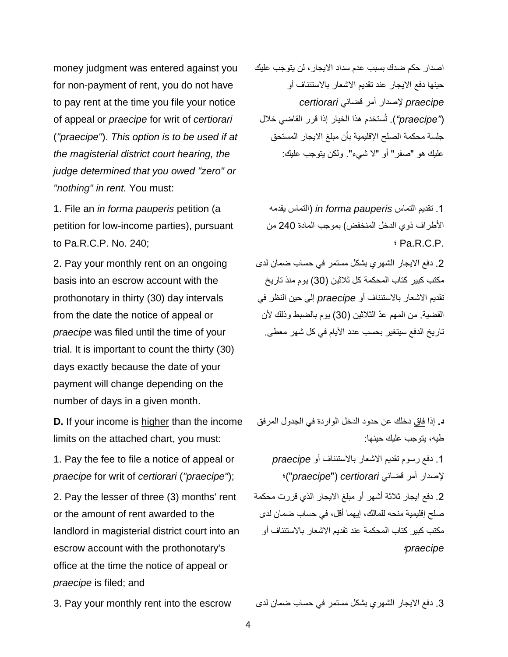money judgment was entered against you for non-payment of rent, you do not have to pay rent at the time you file your notice of appeal or *praecipe* for writ of *certiorari*  (*"praecipe"*). *This option is to be used if at the magisterial district court hearing, the judge determined that you owed "zero" or "nothing" in rent.* You must:

1. File an *in forma pauperis* petition (a petition for low-income parties), pursuant to Pa.R.C.P. No. 240;

2. Pay your monthly rent on an ongoing basis into an escrow account with the prothonotary in thirty (30) day intervals from the date the notice of appeal or *praecipe* was filed until the time of your trial. It is important to count the thirty (30) days exactly because the date of your payment will change depending on the number of days in a given month.

**D.** If your income is higher than the income limits on the attached chart, you must:

1. Pay the fee to file a notice of appeal or *praecipe* for writ of *certiorari* (*"praecipe"*);

2. Pay the lesser of three (3) months' rent or the amount of rent awarded to the landlord in magisterial district court into an escrow account with the prothonotary's office at the time the notice of appeal or *praecipe* is filed; and

اصدار حكم ضدك بسبب عدم سداد االيجار، لن يتوجب عليك حينها دفع االيجار عند تقديم االشعار باالستئناف أو *praecipe* إلصدار أمر قضائي *certiorari* )*"praecipe*)*"*. تُستخدم هذا الخيار إذا قرر القاضي خالل جلسة محكمة الصلح اإلقليمية بأن مبلغ االيجار المستحق عليك هو "صفر" أو "ال شيء". ولكن يتوجب عليك:

.1 تقديم التماس *pauperis forma in*( التماس يقدمه األطراف ذوي الدخل المنخفض( بموجب المادة 240 من ؛ Pa.R.C.P.

.2 دفع االيجار الشهري بشكل مستمر في حساب ضمان لدى مكتب كبير كتاب المحكمة كل ثالثين )30( يوم منذ تاريخ تقديم االشعار باالستئناف أو *praecipe* إلى حين النظر في القضية. من المهم عدّ الثلاثين (30) يوم بالضبط وذلك لأن تاريخ الدفع سيتغير بحسب عدد األيام في كل شهر معطى.

**د.** إذا فاق دخلك عن حدود الدخل الواردة في الجدول المرفق طيه، يتوجب عليك حينها:

.1 دفع رسوم تقديم االشعار باالستئناف أو *praecipe* إلصدار أمر قضائي *certiorari* "( *praecipe*)"؛ .2 دفع ايجار ثالثة أشهر أو مبلغ االيجار الذي قررت محكمة صلح إقليمية منحه للمالك، إيهما أقل، في حساب ضمان لدى مكتب كبير كتاب المحكمة عند تقديم االشعار باالستئناف أو *praecipe*؛

3. دفع الايجار الشهري بشكل مستمر في حساب ضمان لدى 3. Pay your monthly rent into the escrow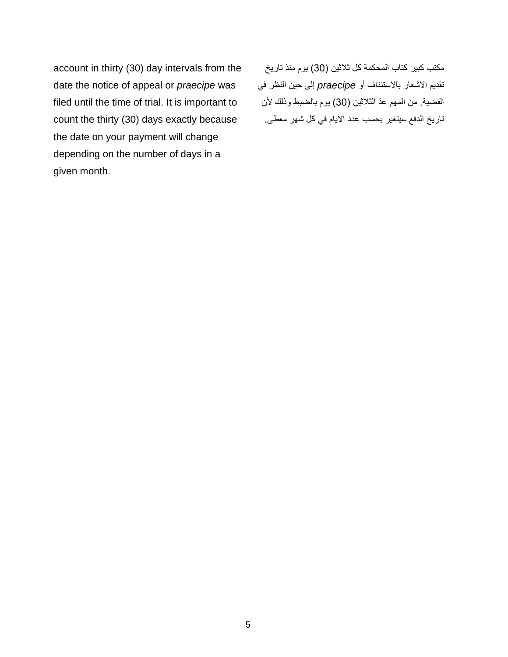account in thirty (30) day intervals from the date the notice of appeal or *praecipe* was filed until the time of trial. It is important to count the thirty (30) days exactly because the date on your payment will change depending on the number of days in a given month.

مكتب كبير كتاب المحكمة كل ثالثين )30( يوم منذ تاريخ تقديم االشعار باالستئناف أو *praecipe* إلى حين النظر في القضية. من المهم عدّ الثلاثين (30) يوم بالضبط وذلك لأن تاريخ الدفع سيتغير بحسب عدد األيام في كل شهر معطى.